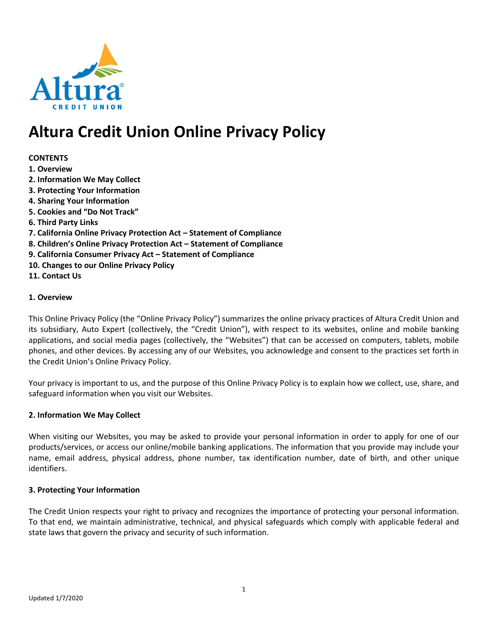

# Altura Credit Union Online Privacy Policy

## **CONTENTS**

- 1. Overview
- 2. Information We May Collect
- 3. Protecting Your Information
- 4. Sharing Your Information
- 5. Cookies and "Do Not Track"
- 6. Third Party Links
- 7. California Online Privacy Protection Act Statement of Compliance
- 8. Children's Online Privacy Protection Act Statement of Compliance
- 9. California Consumer Privacy Act Statement of Compliance
- 10. Changes to our Online Privacy Policy
- 11. Contact Us

## 1. Overview

This Online Privacy Policy (the "Online Privacy Policy") summarizes the online privacy practices of Altura Credit Union and its subsidiary, Auto Expert (collectively, the "Credit Union"), with respect to its websites, online and mobile banking applications, and social media pages (collectively, the "Websites") that can be accessed on computers, tablets, mobile phones, and other devices. By accessing any of our Websites, you acknowledge and consent to the practices set forth in the Credit Union's Online Privacy Policy.

Your privacy is important to us, and the purpose of this Online Privacy Policy is to explain how we collect, use, share, and safeguard information when you visit our Websites.

## 2. Information We May Collect

When visiting our Websites, you may be asked to provide your personal information in order to apply for one of our products/services, or access our online/mobile banking applications. The information that you provide may include your name, email address, physical address, phone number, tax identification number, date of birth, and other unique identifiers.

## 3. Protecting Your Information

The Credit Union respects your right to privacy and recognizes the importance of protecting your personal information. To that end, we maintain administrative, technical, and physical safeguards which comply with applicable federal and state laws that govern the privacy and security of such information.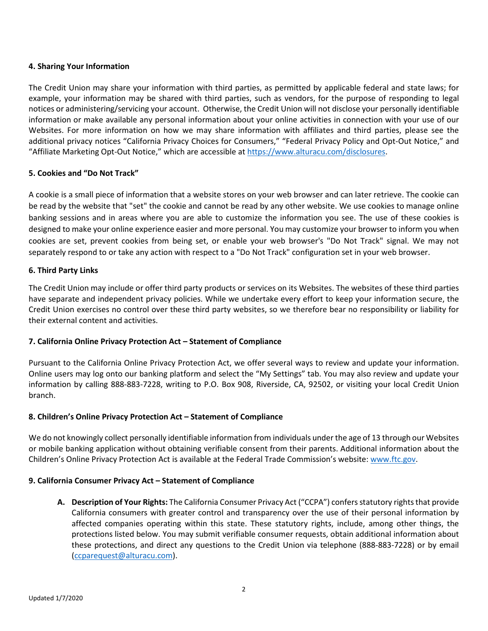## 4. Sharing Your Information

The Credit Union may share your information with third parties, as permitted by applicable federal and state laws; for example, your information may be shared with third parties, such as vendors, for the purpose of responding to legal notices or administering/servicing your account. Otherwise, the Credit Union will not disclose your personally identifiable information or make available any personal information about your online activities in connection with your use of our Websites. For more information on how we may share information with affiliates and third parties, please see the additional privacy notices "California Privacy Choices for Consumers," "Federal Privacy Policy and Opt-Out Notice," and "Affiliate Marketing Opt-Out Notice," which are accessible at https://www.alturacu.com/disclosures.

## 5. Cookies and "Do Not Track"

A cookie is a small piece of information that a website stores on your web browser and can later retrieve. The cookie can be read by the website that "set" the cookie and cannot be read by any other website. We use cookies to manage online banking sessions and in areas where you are able to customize the information you see. The use of these cookies is designed to make your online experience easier and more personal. You may customize your browser to inform you when cookies are set, prevent cookies from being set, or enable your web browser's "Do Not Track" signal. We may not separately respond to or take any action with respect to a "Do Not Track" configuration set in your web browser.

## 6. Third Party Links

The Credit Union may include or offer third party products or services on its Websites. The websites of these third parties have separate and independent privacy policies. While we undertake every effort to keep your information secure, the Credit Union exercises no control over these third party websites, so we therefore bear no responsibility or liability for their external content and activities.

## 7. California Online Privacy Protection Act – Statement of Compliance

Pursuant to the California Online Privacy Protection Act, we offer several ways to review and update your information. Online users may log onto our banking platform and select the "My Settings" tab. You may also review and update your information by calling 888-883-7228, writing to P.O. Box 908, Riverside, CA, 92502, or visiting your local Credit Union branch.

## 8. Children's Online Privacy Protection Act – Statement of Compliance

We do not knowingly collect personally identifiable information from individuals under the age of 13 through our Websites or mobile banking application without obtaining verifiable consent from their parents. Additional information about the Children's Online Privacy Protection Act is available at the Federal Trade Commission's website: www.ftc.gov.

## 9. California Consumer Privacy Act – Statement of Compliance

A. Description of Your Rights: The California Consumer Privacy Act ("CCPA") confers statutory rights that provide California consumers with greater control and transparency over the use of their personal information by affected companies operating within this state. These statutory rights, include, among other things, the protections listed below. You may submit verifiable consumer requests, obtain additional information about these protections, and direct any questions to the Credit Union via telephone (888-883-7228) or by email (ccparequest@alturacu.com).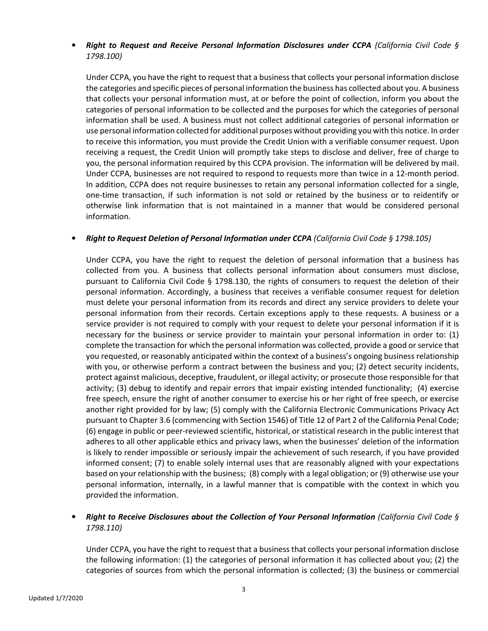## **Right to Request and Receive Personal Information Disclosures under CCPA** (California Civil Code § 1798.100)

Under CCPA, you have the right to request that a business that collects your personal information disclose the categories and specific pieces of personal information the business has collected about you. A business that collects your personal information must, at or before the point of collection, inform you about the categories of personal information to be collected and the purposes for which the categories of personal information shall be used. A business must not collect additional categories of personal information or use personal information collected for additional purposes without providing you with this notice. In order to receive this information, you must provide the Credit Union with a verifiable consumer request. Upon receiving a request, the Credit Union will promptly take steps to disclose and deliver, free of charge to you, the personal information required by this CCPA provision. The information will be delivered by mail. Under CCPA, businesses are not required to respond to requests more than twice in a 12-month period. In addition, CCPA does not require businesses to retain any personal information collected for a single, one-time transaction, if such information is not sold or retained by the business or to reidentify or otherwise link information that is not maintained in a manner that would be considered personal information.

## • Right to Request Deletion of Personal Information under CCPA (California Civil Code § 1798.105)

Under CCPA, you have the right to request the deletion of personal information that a business has collected from you. A business that collects personal information about consumers must disclose, pursuant to California Civil Code § 1798.130, the rights of consumers to request the deletion of their personal information. Accordingly, a business that receives a verifiable consumer request for deletion must delete your personal information from its records and direct any service providers to delete your personal information from their records. Certain exceptions apply to these requests. A business or a service provider is not required to comply with your request to delete your personal information if it is necessary for the business or service provider to maintain your personal information in order to: (1) complete the transaction for which the personal information was collected, provide a good or service that you requested, or reasonably anticipated within the context of a business's ongoing business relationship with you, or otherwise perform a contract between the business and you; (2) detect security incidents, protect against malicious, deceptive, fraudulent, or illegal activity; or prosecute those responsible for that activity; (3) debug to identify and repair errors that impair existing intended functionality; (4) exercise free speech, ensure the right of another consumer to exercise his or her right of free speech, or exercise another right provided for by law; (5) comply with the California Electronic Communications Privacy Act pursuant to Chapter 3.6 (commencing with Section 1546) of Title 12 of Part 2 of the California Penal Code; (6) engage in public or peer-reviewed scientific, historical, or statistical research in the public interest that adheres to all other applicable ethics and privacy laws, when the businesses' deletion of the information is likely to render impossible or seriously impair the achievement of such research, if you have provided informed consent; (7) to enable solely internal uses that are reasonably aligned with your expectations based on your relationship with the business; (8) comply with a legal obligation; or (9) otherwise use your personal information, internally, in a lawful manner that is compatible with the context in which you provided the information.

## • Right to Receive Disclosures about the Collection of Your Personal Information (California Civil Code § 1798.110)

Under CCPA, you have the right to request that a business that collects your personal information disclose the following information: (1) the categories of personal information it has collected about you; (2) the categories of sources from which the personal information is collected; (3) the business or commercial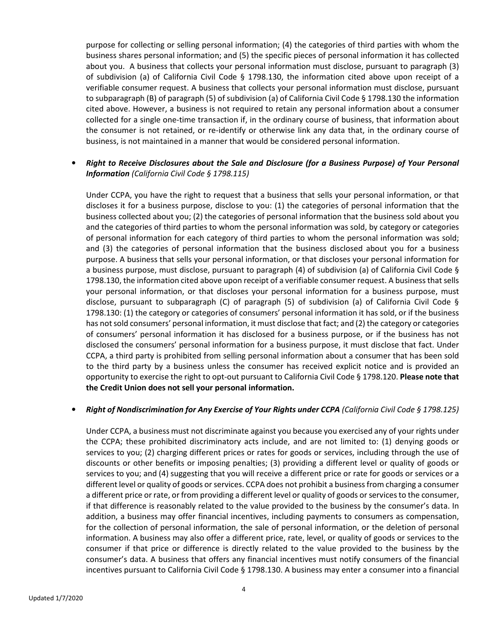purpose for collecting or selling personal information; (4) the categories of third parties with whom the business shares personal information; and (5) the specific pieces of personal information it has collected about you. A business that collects your personal information must disclose, pursuant to paragraph (3) of subdivision (a) of California Civil Code § 1798.130, the information cited above upon receipt of a verifiable consumer request. A business that collects your personal information must disclose, pursuant to subparagraph (B) of paragraph (5) of subdivision (a) of California Civil Code § 1798.130 the information cited above. However, a business is not required to retain any personal information about a consumer collected for a single one-time transaction if, in the ordinary course of business, that information about the consumer is not retained, or re-identify or otherwise link any data that, in the ordinary course of business, is not maintained in a manner that would be considered personal information.

## • Right to Receive Disclosures about the Sale and Disclosure (for a Business Purpose) of Your Personal Information (California Civil Code § 1798.115)

Under CCPA, you have the right to request that a business that sells your personal information, or that discloses it for a business purpose, disclose to you: (1) the categories of personal information that the business collected about you; (2) the categories of personal information that the business sold about you and the categories of third parties to whom the personal information was sold, by category or categories of personal information for each category of third parties to whom the personal information was sold; and (3) the categories of personal information that the business disclosed about you for a business purpose. A business that sells your personal information, or that discloses your personal information for a business purpose, must disclose, pursuant to paragraph (4) of subdivision (a) of California Civil Code § 1798.130, the information cited above upon receipt of a verifiable consumer request. A business that sells your personal information, or that discloses your personal information for a business purpose, must disclose, pursuant to subparagraph (C) of paragraph (5) of subdivision (a) of California Civil Code § 1798.130: (1) the category or categories of consumers' personal information it has sold, or if the business has not sold consumers' personal information, it must disclose that fact; and (2) the category or categories of consumers' personal information it has disclosed for a business purpose, or if the business has not disclosed the consumers' personal information for a business purpose, it must disclose that fact. Under CCPA, a third party is prohibited from selling personal information about a consumer that has been sold to the third party by a business unless the consumer has received explicit notice and is provided an opportunity to exercise the right to opt-out pursuant to California Civil Code § 1798.120. Please note that the Credit Union does not sell your personal information.

## • Right of Nondiscrimination for Any Exercise of Your Rights under CCPA (California Civil Code § 1798.125)

Under CCPA, a business must not discriminate against you because you exercised any of your rights under the CCPA; these prohibited discriminatory acts include, and are not limited to: (1) denying goods or services to you; (2) charging different prices or rates for goods or services, including through the use of discounts or other benefits or imposing penalties; (3) providing a different level or quality of goods or services to you; and (4) suggesting that you will receive a different price or rate for goods or services or a different level or quality of goods or services. CCPA does not prohibit a business from charging a consumer a different price or rate, or from providing a different level or quality of goods or services to the consumer, if that difference is reasonably related to the value provided to the business by the consumer's data. In addition, a business may offer financial incentives, including payments to consumers as compensation, for the collection of personal information, the sale of personal information, or the deletion of personal information. A business may also offer a different price, rate, level, or quality of goods or services to the consumer if that price or difference is directly related to the value provided to the business by the consumer's data. A business that offers any financial incentives must notify consumers of the financial incentives pursuant to California Civil Code § 1798.130. A business may enter a consumer into a financial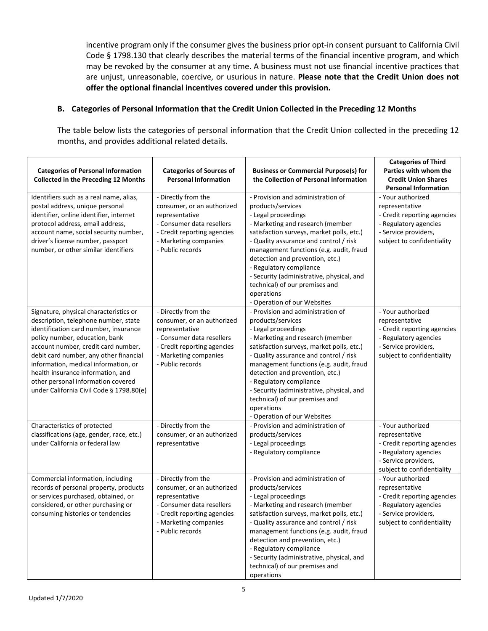incentive program only if the consumer gives the business prior opt-in consent pursuant to California Civil Code § 1798.130 that clearly describes the material terms of the financial incentive program, and which may be revoked by the consumer at any time. A business must not use financial incentive practices that are unjust, unreasonable, coercive, or usurious in nature. Please note that the Credit Union does not offer the optional financial incentives covered under this provision.

## B. Categories of Personal Information that the Credit Union Collected in the Preceding 12 Months

The table below lists the categories of personal information that the Credit Union collected in the preceding 12 months, and provides additional related details.

| <b>Categories of Personal Information</b><br><b>Collected in the Preceding 12 Months</b>                                                                                                                                                                                                                                                                                                                  | <b>Categories of Sources of</b><br><b>Personal Information</b>                                                                                                               | <b>Business or Commercial Purpose(s) for</b><br>the Collection of Personal Information                                                                                                                                                                                                                                                                                                                                                        | <b>Categories of Third</b><br>Parties with whom the<br><b>Credit Union Shares</b><br><b>Personal Information</b>                                  |
|-----------------------------------------------------------------------------------------------------------------------------------------------------------------------------------------------------------------------------------------------------------------------------------------------------------------------------------------------------------------------------------------------------------|------------------------------------------------------------------------------------------------------------------------------------------------------------------------------|-----------------------------------------------------------------------------------------------------------------------------------------------------------------------------------------------------------------------------------------------------------------------------------------------------------------------------------------------------------------------------------------------------------------------------------------------|---------------------------------------------------------------------------------------------------------------------------------------------------|
| Identifiers such as a real name, alias,<br>postal address, unique personal<br>identifier, online identifier, internet<br>protocol address, email address,<br>account name, social security number,<br>driver's license number, passport<br>number, or other similar identifiers                                                                                                                           | - Directly from the<br>consumer, or an authorized<br>representative<br>- Consumer data resellers<br>- Credit reporting agencies<br>- Marketing companies<br>- Public records | - Provision and administration of<br>products/services<br>- Legal proceedings<br>- Marketing and research (member<br>satisfaction surveys, market polls, etc.)<br>- Quality assurance and control / risk<br>management functions (e.g. audit, fraud<br>detection and prevention, etc.)<br>- Regulatory compliance<br>- Security (administrative, physical, and<br>technical) of our premises and<br>operations<br>- Operation of our Websites | - Your authorized<br>representative<br>- Credit reporting agencies<br>- Regulatory agencies<br>- Service providers,<br>subject to confidentiality |
| Signature, physical characteristics or<br>description, telephone number, state<br>identification card number, insurance<br>policy number, education, bank<br>account number, credit card number,<br>debit card number, any other financial<br>information, medical information, or<br>health insurance information, and<br>other personal information covered<br>under California Civil Code § 1798.80(e) | - Directly from the<br>consumer, or an authorized<br>representative<br>- Consumer data resellers<br>- Credit reporting agencies<br>- Marketing companies<br>- Public records | - Provision and administration of<br>products/services<br>- Legal proceedings<br>- Marketing and research (member<br>satisfaction surveys, market polls, etc.)<br>- Quality assurance and control / risk<br>management functions (e.g. audit, fraud<br>detection and prevention, etc.)<br>- Regulatory compliance<br>- Security (administrative, physical, and<br>technical) of our premises and<br>operations<br>- Operation of our Websites | - Your authorized<br>representative<br>- Credit reporting agencies<br>- Regulatory agencies<br>- Service providers,<br>subject to confidentiality |
| Characteristics of protected<br>classifications (age, gender, race, etc.)<br>under California or federal law                                                                                                                                                                                                                                                                                              | - Directly from the<br>consumer, or an authorized<br>representative                                                                                                          | - Provision and administration of<br>products/services<br>- Legal proceedings<br>- Regulatory compliance                                                                                                                                                                                                                                                                                                                                      | - Your authorized<br>representative<br>- Credit reporting agencies<br>- Regulatory agencies<br>- Service providers,<br>subject to confidentiality |
| Commercial information, including<br>records of personal property, products<br>or services purchased, obtained, or<br>considered, or other purchasing or<br>consuming histories or tendencies                                                                                                                                                                                                             | - Directly from the<br>consumer, or an authorized<br>representative<br>- Consumer data resellers<br>- Credit reporting agencies<br>- Marketing companies<br>- Public records | - Provision and administration of<br>products/services<br>- Legal proceedings<br>- Marketing and research (member<br>satisfaction surveys, market polls, etc.)<br>- Quality assurance and control / risk<br>management functions (e.g. audit, fraud<br>detection and prevention, etc.)<br>- Regulatory compliance<br>- Security (administrative, physical, and<br>technical) of our premises and<br>operations                                | - Your authorized<br>representative<br>- Credit reporting agencies<br>- Regulatory agencies<br>- Service providers,<br>subject to confidentiality |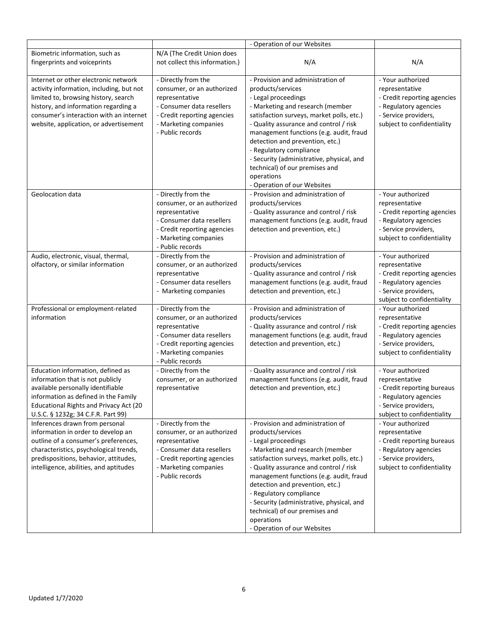|                                                                                                                                                                                                                                                       |                                                                                                                                                                              | - Operation of our Websites                                                                                                                                                                                                                                                                                                                                                                                                                   |                                                                                                                                                   |
|-------------------------------------------------------------------------------------------------------------------------------------------------------------------------------------------------------------------------------------------------------|------------------------------------------------------------------------------------------------------------------------------------------------------------------------------|-----------------------------------------------------------------------------------------------------------------------------------------------------------------------------------------------------------------------------------------------------------------------------------------------------------------------------------------------------------------------------------------------------------------------------------------------|---------------------------------------------------------------------------------------------------------------------------------------------------|
| Biometric information, such as<br>fingerprints and voiceprints                                                                                                                                                                                        | N/A (The Credit Union does<br>not collect this information.)                                                                                                                 | N/A                                                                                                                                                                                                                                                                                                                                                                                                                                           | N/A                                                                                                                                               |
| Internet or other electronic network<br>activity information, including, but not<br>limited to, browsing history, search<br>history, and information regarding a<br>consumer's interaction with an internet<br>website, application, or advertisement | - Directly from the<br>consumer, or an authorized<br>representative<br>- Consumer data resellers<br>- Credit reporting agencies<br>- Marketing companies<br>- Public records | - Provision and administration of<br>products/services<br>- Legal proceedings<br>- Marketing and research (member<br>satisfaction surveys, market polls, etc.)<br>- Quality assurance and control / risk<br>management functions (e.g. audit, fraud<br>detection and prevention, etc.)<br>- Regulatory compliance<br>- Security (administrative, physical, and<br>technical) of our premises and<br>operations<br>- Operation of our Websites | - Your authorized<br>representative<br>- Credit reporting agencies<br>- Regulatory agencies<br>- Service providers,<br>subject to confidentiality |
| Geolocation data                                                                                                                                                                                                                                      | - Directly from the<br>consumer, or an authorized<br>representative<br>- Consumer data resellers<br>- Credit reporting agencies<br>- Marketing companies<br>- Public records | - Provision and administration of<br>products/services<br>- Quality assurance and control / risk<br>management functions (e.g. audit, fraud<br>detection and prevention, etc.)                                                                                                                                                                                                                                                                | - Your authorized<br>representative<br>- Credit reporting agencies<br>- Regulatory agencies<br>- Service providers,<br>subject to confidentiality |
| Audio, electronic, visual, thermal,<br>olfactory, or similar information                                                                                                                                                                              | - Directly from the<br>consumer, or an authorized<br>representative<br>- Consumer data resellers<br>- Marketing companies                                                    | - Provision and administration of<br>products/services<br>- Quality assurance and control / risk<br>management functions (e.g. audit, fraud<br>detection and prevention, etc.)                                                                                                                                                                                                                                                                | - Your authorized<br>representative<br>- Credit reporting agencies<br>- Regulatory agencies<br>- Service providers,<br>subject to confidentiality |
| Professional or employment-related<br>information                                                                                                                                                                                                     | - Directly from the<br>consumer, or an authorized<br>representative<br>- Consumer data resellers<br>- Credit reporting agencies<br>- Marketing companies<br>- Public records | - Provision and administration of<br>products/services<br>- Quality assurance and control / risk<br>management functions (e.g. audit, fraud<br>detection and prevention, etc.)                                                                                                                                                                                                                                                                | - Your authorized<br>representative<br>- Credit reporting agencies<br>- Regulatory agencies<br>- Service providers,<br>subject to confidentiality |
| Education information, defined as<br>information that is not publicly<br>available personally identifiable<br>information as defined in the Family<br><b>Educational Rights and Privacy Act (20</b><br>U.S.C. § 1232g; 34 C.F.R. Part 99)             | - Directly from the<br>consumer, or an authorized<br>representative                                                                                                          | - Quality assurance and control / risk<br>management functions (e.g. audit, fraud<br>detection and prevention, etc.)                                                                                                                                                                                                                                                                                                                          | - Your authorized<br>representative<br>- Credit reporting bureaus<br>- Regulatory agencies<br>- Service providers,<br>subject to confidentiality  |
| Inferences drawn from personal<br>information in order to develop an<br>outline of a consumer's preferences,<br>characteristics, psychological trends,<br>predispositions, behavior, attitudes,<br>intelligence, abilities, and aptitudes             | - Directly from the<br>consumer, or an authorized<br>representative<br>- Consumer data resellers<br>- Credit reporting agencies<br>- Marketing companies<br>- Public records | - Provision and administration of<br>products/services<br>- Legal proceedings<br>- Marketing and research (member<br>satisfaction surveys, market polls, etc.)<br>- Quality assurance and control / risk<br>management functions (e.g. audit, fraud<br>detection and prevention, etc.)<br>- Regulatory compliance<br>- Security (administrative, physical, and<br>technical) of our premises and<br>operations<br>- Operation of our Websites | - Your authorized<br>representative<br>- Credit reporting bureaus<br>- Regulatory agencies<br>- Service providers,<br>subject to confidentiality  |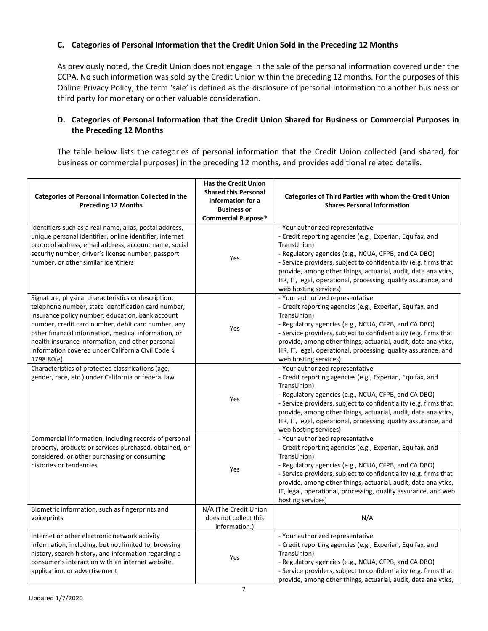## C. Categories of Personal Information that the Credit Union Sold in the Preceding 12 Months

As previously noted, the Credit Union does not engage in the sale of the personal information covered under the CCPA. No such information was sold by the Credit Union within the preceding 12 months. For the purposes of this Online Privacy Policy, the term 'sale' is defined as the disclosure of personal information to another business or third party for monetary or other valuable consideration.

## D. Categories of Personal Information that the Credit Union Shared for Business or Commercial Purposes in the Preceding 12 Months

The table below lists the categories of personal information that the Credit Union collected (and shared, for business or commercial purposes) in the preceding 12 months, and provides additional related details.

| <b>Categories of Personal Information Collected in the</b><br><b>Preceding 12 Months</b>               | <b>Has the Credit Union</b><br><b>Shared this Personal</b><br>Information for a<br><b>Business or</b><br><b>Commercial Purpose?</b> | <b>Categories of Third Parties with whom the Credit Union</b><br><b>Shares Personal Information</b> |
|--------------------------------------------------------------------------------------------------------|-------------------------------------------------------------------------------------------------------------------------------------|-----------------------------------------------------------------------------------------------------|
| Identifiers such as a real name, alias, postal address,                                                |                                                                                                                                     | - Your authorized representative                                                                    |
| unique personal identifier, online identifier, internet                                                |                                                                                                                                     | - Credit reporting agencies (e.g., Experian, Equifax, and                                           |
| protocol address, email address, account name, social                                                  |                                                                                                                                     | TransUnion)                                                                                         |
| security number, driver's license number, passport                                                     |                                                                                                                                     | - Regulatory agencies (e.g., NCUA, CFPB, and CA DBO)                                                |
| number, or other similar identifiers                                                                   | Yes                                                                                                                                 | - Service providers, subject to confidentiality (e.g. firms that                                    |
|                                                                                                        |                                                                                                                                     | provide, among other things, actuarial, audit, data analytics,                                      |
|                                                                                                        |                                                                                                                                     | HR, IT, legal, operational, processing, quality assurance, and                                      |
|                                                                                                        |                                                                                                                                     | web hosting services)                                                                               |
| Signature, physical characteristics or description,                                                    |                                                                                                                                     | - Your authorized representative                                                                    |
| telephone number, state identification card number,                                                    |                                                                                                                                     | - Credit reporting agencies (e.g., Experian, Equifax, and                                           |
| insurance policy number, education, bank account                                                       |                                                                                                                                     | TransUnion)                                                                                         |
| number, credit card number, debit card number, any                                                     |                                                                                                                                     | - Regulatory agencies (e.g., NCUA, CFPB, and CA DBO)                                                |
| other financial information, medical information, or                                                   | Yes                                                                                                                                 | - Service providers, subject to confidentiality (e.g. firms that                                    |
| health insurance information, and other personal                                                       |                                                                                                                                     | provide, among other things, actuarial, audit, data analytics,                                      |
| information covered under California Civil Code §                                                      |                                                                                                                                     | HR, IT, legal, operational, processing, quality assurance, and                                      |
| 1798.80(e)                                                                                             |                                                                                                                                     | web hosting services)                                                                               |
| Characteristics of protected classifications (age,                                                     |                                                                                                                                     | - Your authorized representative                                                                    |
| gender, race, etc.) under California or federal law                                                    |                                                                                                                                     | - Credit reporting agencies (e.g., Experian, Equifax, and                                           |
|                                                                                                        |                                                                                                                                     | TransUnion)                                                                                         |
|                                                                                                        | Yes                                                                                                                                 | - Regulatory agencies (e.g., NCUA, CFPB, and CA DBO)                                                |
|                                                                                                        |                                                                                                                                     | - Service providers, subject to confidentiality (e.g. firms that                                    |
|                                                                                                        |                                                                                                                                     | provide, among other things, actuarial, audit, data analytics,                                      |
|                                                                                                        |                                                                                                                                     | HR, IT, legal, operational, processing, quality assurance, and                                      |
|                                                                                                        |                                                                                                                                     | web hosting services)                                                                               |
| Commercial information, including records of personal                                                  |                                                                                                                                     | - Your authorized representative                                                                    |
| property, products or services purchased, obtained, or<br>considered, or other purchasing or consuming |                                                                                                                                     | - Credit reporting agencies (e.g., Experian, Equifax, and<br>TransUnion)                            |
| histories or tendencies                                                                                |                                                                                                                                     | - Regulatory agencies (e.g., NCUA, CFPB, and CA DBO)                                                |
|                                                                                                        | Yes                                                                                                                                 | - Service providers, subject to confidentiality (e.g. firms that                                    |
|                                                                                                        |                                                                                                                                     | provide, among other things, actuarial, audit, data analytics,                                      |
|                                                                                                        |                                                                                                                                     | IT, legal, operational, processing, quality assurance, and web                                      |
|                                                                                                        |                                                                                                                                     | hosting services)                                                                                   |
| Biometric information, such as fingerprints and                                                        | N/A (The Credit Union                                                                                                               |                                                                                                     |
| voiceprints                                                                                            | does not collect this                                                                                                               | N/A                                                                                                 |
|                                                                                                        | information.)                                                                                                                       |                                                                                                     |
| Internet or other electronic network activity                                                          |                                                                                                                                     | - Your authorized representative                                                                    |
| information, including, but not limited to, browsing                                                   |                                                                                                                                     | - Credit reporting agencies (e.g., Experian, Equifax, and                                           |
| history, search history, and information regarding a                                                   | Yes                                                                                                                                 | TransUnion)                                                                                         |
| consumer's interaction with an internet website,                                                       |                                                                                                                                     | - Regulatory agencies (e.g., NCUA, CFPB, and CA DBO)                                                |
| application, or advertisement                                                                          |                                                                                                                                     | - Service providers, subject to confidentiality (e.g. firms that                                    |
|                                                                                                        |                                                                                                                                     | provide, among other things, actuarial, audit, data analytics,                                      |